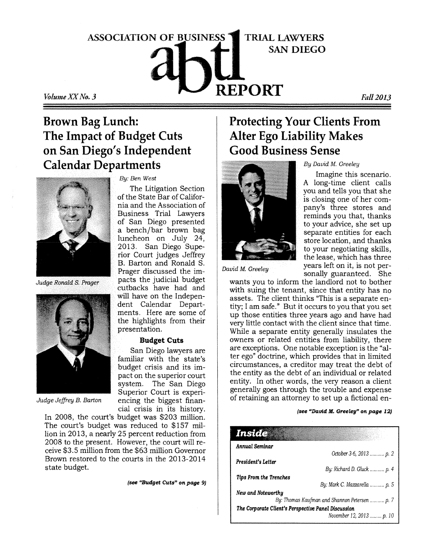# $\mathbb{R}$ **PORT** *Fall 2013* **ASSOCIATION OF BUSINESS TRIAL LAWYERS SAN DIEGO**

### **Brown Bag Lunch: The Impact of Budget Cuts on San Diego's Independent Calendar Departments**

*By: Ben West* 

presentation.

**Budget Cuts**  San Diego lawyers are familiar with the state's budget crisis and its impact on the superior court system. The San Diego Superior Court is experiencing the biggest finan-

The Litigation Section of the State Bar of California and the Association of Business Trial Lawyers of San Diego presented a bench/bar brown bag luncheon on July 24, 2013. San Diego Superior Court judges Jeffrey B. Barton and Ronald S. Prager discussed the impacts the judicial budget cutbacks have had and will have on the Independent Calendar Departments. Here are some of the highlights from their



Judge Ronald S. Prager



*Judge Jeffrey B. Barton* 

cial crisis in its history. In 2008, the court's budget was \$203 million. The court's budget was reduced to S157 million in 2013, a nearly 25 percent reduction from 2008 to the present. However, the court will receive \$3.5 million from the \$63 million Governor Brown restored to the courts in the 2013-2014 state budget.

*(see "Budget Cuts" on page 9)* 

### **Protecting Your Clients From Alter Ego Liability Makes Good Business Sense**



*By David M. Greeley* 

Imagine this scenario. A long-time client calls you and tells you that she is closing one of her company's three stores and reminds you that, thanks to your advice, she set up separate entities for each store location, and thanks to your negotiating skills, the lease, which has three years left on it, is not personally guaranteed. She

*David M. Greeley* 

wants you to inform the landlord not to bother with suing the tenant, since that entity has no assets. The client thinks "This is a separate entity; I am safe." But it occurs to you that you set up those entities three years ago and have had very little contact with the client since that time. While a separate entity generally insulates the owners or related entities from liability, there are exceptions. One notable exception is the "alter ego" doctrine, which provides that in limited circumstances, a creditor may treat the debt of the entity as the debt of an individual or related entity. In other words, the very reason a client generally goes through the trouble and expense of retaining an attorney to set up a fictional en-

#### *(see "David M. Greeley" on page 12)*

| Inside »                                            |                                               |
|-----------------------------------------------------|-----------------------------------------------|
| Annual Seminar                                      |                                               |
|                                                     | October 3-6, 2013  p. 2                       |
| President's Letter                                  |                                               |
|                                                     | By: Richard D. Gluck  p. 4                    |
| <b>Tips From the Trenches</b>                       |                                               |
|                                                     | By: Mark C. Mazzarella  p. 5                  |
| New and Noteworthy                                  |                                               |
|                                                     | By: Thomas Kaufman and Shannon Petersen  p. 7 |
| The Corporate Client's Perspective Panel Discussion |                                               |
|                                                     | November 12, 2013  p. 10                      |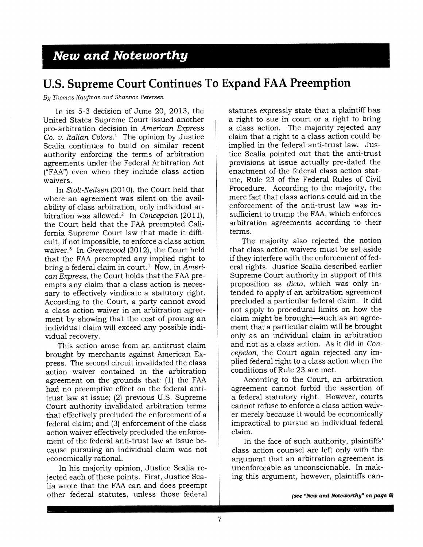#### *New* **and** *Noteworthy*

#### **U.S. Supreme Court Continues To Expand FAA Preemption**

*By Thomas Kaufman and Shannon Petersen* 

In its 5-3 decision of June 20, 2013, the United States Supreme Court issued another pro-arbitration decision in *American Express Co. v. Italian Colors.<sup>1</sup>* The opinion by Justice Scalia continues to build on similar recent authority enforcing the terms of arbitration agreements under the Federal Arbitration Act ("FAA") even when they include class action waivers.

In *Stolt -Neilsen* (2010), the Court held that where an agreement was silent on the availability of class arbitration, only individual arbitration was allowed.<sup>2</sup> In *Concepcion* (2011), the Court held that the FAA preempted California Supreme Court law that made it difficult, if not impossible, to enforce a class action waiver.<sup>3</sup> In *Greenwood* (2012), the Court held that the FAA preempted any implied right to bring a federal claim in court.<sup>4</sup> Now, in *American Express,* the Court holds that the FAA preempts any claim that a class action is necessary to effectively vindicate a statutory right. According to the Court, a party cannot avoid a class action waiver in an arbitration agreement by showing that the cost of proving an individual claim will exceed any possible individual recovery.

This action arose from an antitrust claim brought by merchants against American Express. The second circuit invalidated the class action waiver contained in the arbitration agreement on the grounds that: (1) the FAA had no preemptive effect on the federal antitrust law at issue; (2) previous U.S. Supreme Court authority invalidated arbitration terms that effectively precluded the enforcement of a federal claim; and (3) enforcement of the class action waiver effectively precluded the enforcement of the federal anti-trust law at issue because pursuing an individual claim was not economically rational.

In his majority opinion, Justice Scalia rejected each of these points. First, Justice Scalia wrote that the FAA can and does preempt other federal statutes, unless those federal statutes expressly state that a plaintiff has a right to sue in court or a right to bring a class action. The majority rejected any claim that a right to a class action could be implied in the federal anti-trust law. Justice Scalia pointed out that the anti-trust provisions at issue actually pre-dated the enactment of the federal class action statute, Rule 23 of the Federal Rules of Civil Procedure. According to the majority, the mere fact that class actions could aid in the enforcement of the anti-trust law was insufficient to trump the FAA, which enforces arbitration agreements according to their terms.

The majority also rejected the notion that class action waivers must be set aside if they interfere with the enforcement of federal rights. Justice Scalia described earlier Supreme Court authority in support of this proposition as *dicta,* which was only intended to apply if an arbitration agreement precluded a particular federal claim. It did not apply to procedural limits on how the claim might be brought—such as an agreement that a particular claim will be brought only as an individual claim in arbitration and not as a class action. As it did in *Concepcion,* the Court again rejected any implied federal right to a class action when the conditions of Rule 23 are met.

According to the Court, an arbitration agreement cannot forbid the assertion of a federal statutory right. However, courts cannot refuse to enforce a class action waiver merely because it would be economically impractical to pursue an individual federal claim.

In the face of such authority, plaintiffs' class action counsel are left only with the argument that an arbitration agreement is unenforceable as unconscionable. In making this argument, however, plaintiffs can-